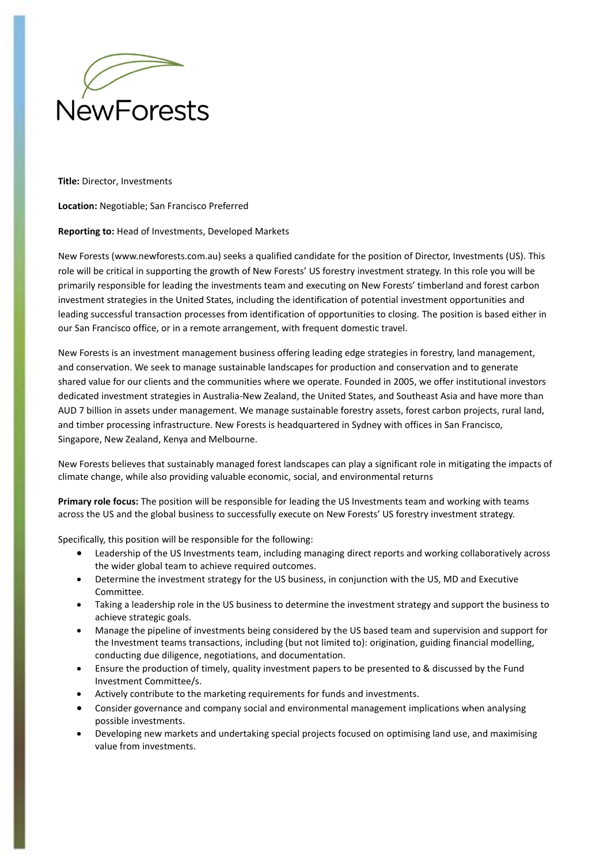

**Title:** Director, Investments

**Location:** Negotiable; San Francisco Preferred

## **Reporting to:** Head of Investments, Developed Markets

New Forests (www.newforests.com.au) seeks a qualified candidate for the position of Director, Investments (US). This role will be critical in supporting the growth of New Forests' US forestry investment strategy. In this role you will be primarily responsible for leading the investments team and executing on New Forests' timberland and forest carbon investment strategies in the United States, including the identification of potential investment opportunities and leading successful transaction processes from identification of opportunities to closing. The position is based either in our San Francisco office, or in a remote arrangement, with frequent domestic travel.

New Forests is an investment management business offering leading edge strategies in forestry, land management, and conservation. We seek to manage sustainable landscapes for production and conservation and to generate shared value for our clients and the communities where we operate. Founded in 2005, we offer institutional investors dedicated investment strategies in Australia‐New Zealand, the United States, and Southeast Asia and have more than AUD 7 billion in assets under management. We manage sustainable forestry assets, forest carbon projects, rural land, and timber processing infrastructure. New Forests is headquartered in Sydney with offices in San Francisco, Singapore, New Zealand, Kenya and Melbourne.

New Forests believes that sustainably managed forest landscapes can play a significant role in mitigating the impacts of climate change, while also providing valuable economic, social, and environmental returns

**Primary role focus:** The position will be responsible for leading the US Investments team and working with teams across the US and the global business to successfully execute on New Forests' US forestry investment strategy.

Specifically, this position will be responsible for the following:

- Leadership of the US Investments team, including managing direct reports and working collaboratively across the wider global team to achieve required outcomes.
- Determine the investment strategy for the US business, in conjunction with the US, MD and Executive Committee.
- Taking a leadership role in the US business to determine the investment strategy and support the business to achieve strategic goals.
- Manage the pipeline of investments being considered by the US based team and supervision and support for the Investment teams transactions, including (but not limited to): origination, guiding financial modelling, conducting due diligence, negotiations, and documentation.
- Ensure the production of timely, quality investment papers to be presented to & discussed by the Fund Investment Committee/s.
- Actively contribute to the marketing requirements for funds and investments.
- Consider governance and company social and environmental management implications when analysing possible investments.
- Developing new markets and undertaking special projects focused on optimising land use, and maximising value from investments.